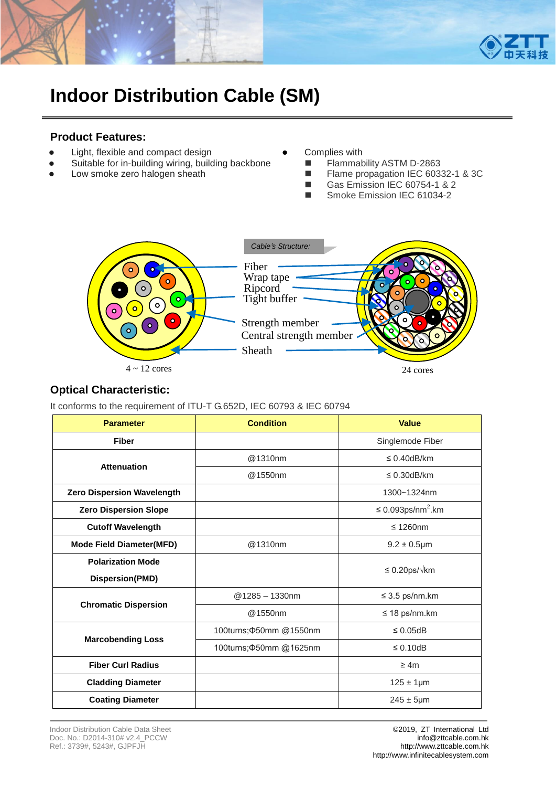

# **Indoor Distribution Cable (SM)**

#### **Product Features:**

- Light, flexible and compact design
- Suitable for in-building wiring, building backbone
- Low smoke zero halogen sheath
- Complies with
	- **Flammability ASTM D-2863**
	- Flame propagation IEC 60332-1 & 3C
	- Gas Emission IEC 60754-1 & 2
		- Smoke Emission IEC 61034-2



#### **Optical Characteristic:**

It conforms to the requirement of ITU-T G.652D, IEC 60793 & IEC 60794

| <b>Parameter</b>                  | <b>Condition</b>               | <b>Value</b>                       |  |  |
|-----------------------------------|--------------------------------|------------------------------------|--|--|
| <b>Fiber</b>                      |                                | Singlemode Fiber                   |  |  |
| <b>Attenuation</b>                | @1310nm                        | $\leq$ 0.40dB/km                   |  |  |
|                                   | @1550nm                        | $\leq$ 0.30dB/km                   |  |  |
| <b>Zero Dispersion Wavelength</b> |                                | 1300~1324nm                        |  |  |
| <b>Zero Dispersion Slope</b>      |                                | $\leq$ 0.093ps/nm <sup>2</sup> .km |  |  |
| <b>Cutoff Wavelength</b>          |                                | $\leq$ 1260nm                      |  |  |
| <b>Mode Field Diameter(MFD)</b>   | @1310nm                        | $9.2 \pm 0.5$ µm                   |  |  |
| <b>Polarization Mode</b>          |                                | $\leq$ 0.20ps/ $\sqrt{k}$ m        |  |  |
| Dispersion(PMD)                   |                                |                                    |  |  |
| <b>Chromatic Dispersion</b>       | $@1285 - 1330$ nm              | $\leq$ 3.5 ps/nm.km                |  |  |
|                                   | @1550nm                        | $\leq$ 18 ps/nm.km                 |  |  |
|                                   | 100turns; $\Phi$ 50mm @ 1550nm | $\leq 0.05$ dB                     |  |  |
| <b>Marcobending Loss</b>          | 100turns; 450mm @1625nm        | $\leq 0.10$ dB                     |  |  |
| <b>Fiber Curl Radius</b>          |                                | $\geq 4m$                          |  |  |
| <b>Cladding Diameter</b>          |                                | $125 \pm 1 \mu m$                  |  |  |
| <b>Coating Diameter</b>           |                                | $245 \pm 5 \mu m$                  |  |  |